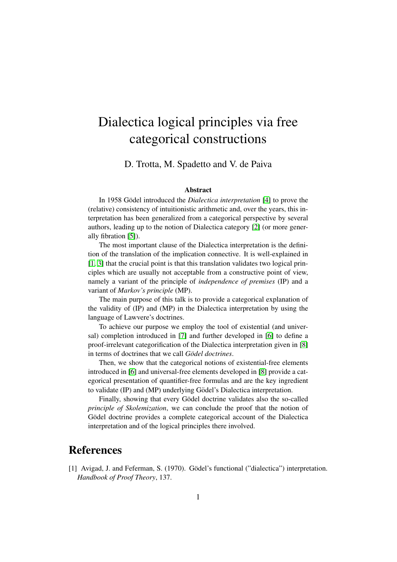## Dialectica logical principles via free categorical constructions

D. Trotta, M. Spadetto and V. de Paiva

## Abstract

In 1958 Gödel introduced the *Dialectica interpretation* [\[4\]](#page-1-0) to prove the (relative) consistency of intuitionistic arithmetic and, over the years, this interpretation has been generalized from a categorical perspective by several authors, leading up to the notion of Dialectica category [\[2\]](#page-1-1) (or more generally fibration [\[5\]](#page-1-2)).

The most important clause of the Dialectica interpretation is the definition of the translation of the implication connective. It is well-explained in [\[1,](#page-0-0) [3\]](#page-1-3) that the crucial point is that this translation validates two logical principles which are usually not acceptable from a constructive point of view, namely a variant of the principle of *independence of premises* (IP) and a variant of *Markov's principle* (MP).

The main purpose of this talk is to provide a categorical explanation of the validity of (IP) and (MP) in the Dialectica interpretation by using the language of Lawvere's doctrines.

To achieve our purpose we employ the tool of existential (and universal) completion introduced in [\[7\]](#page-1-4) and further developed in [\[6\]](#page-1-5) to define a proof-irrelevant categorification of the Dialectica interpretation given in [\[8\]](#page-1-6) in terms of doctrines that we call *Gödel doctrines*.

Then, we show that the categorical notions of existential-free elements introduced in [\[6\]](#page-1-5) and universal-free elements developed in [\[8\]](#page-1-6) provide a categorical presentation of quantifier-free formulas and are the key ingredient to validate (IP) and (MP) underlying Gödel's Dialectica interpretation.

Finally, showing that every Gödel doctrine validates also the so-called *principle of Skolemization*, we can conclude the proof that the notion of Gödel doctrine provides a complete categorical account of the Dialectica interpretation and of the logical principles there involved.

## References

<span id="page-0-0"></span>[1] Avigad, J. and Feferman, S. (1970). Gödel's functional ("dialectica") interpretation. *Handbook of Proof Theory*, 137.